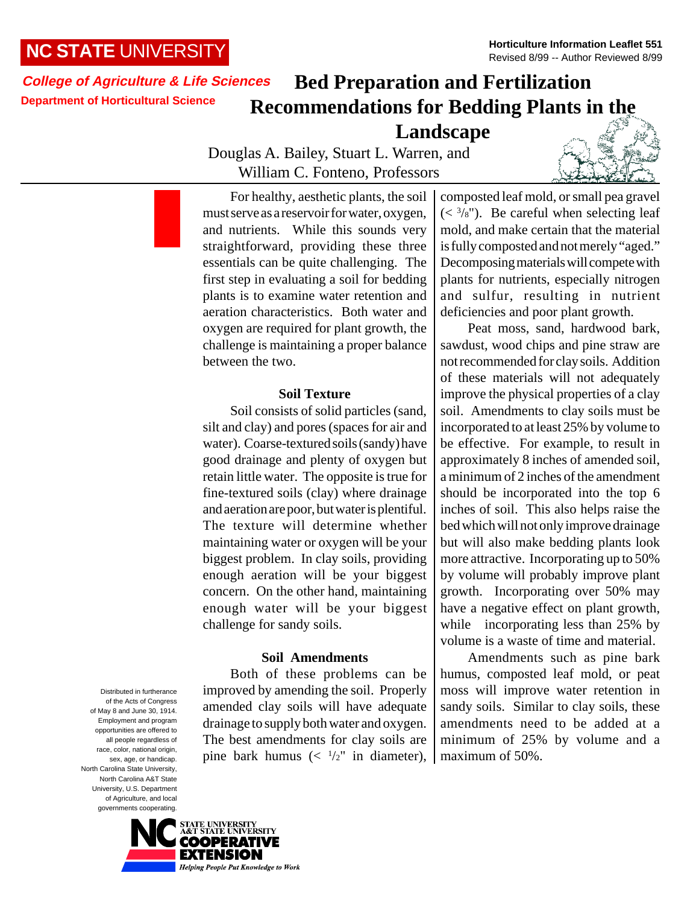## **NC STATE** UNIVERSITY

### **College of Agriculture & Life Sciences Department of Horticultural Science**

# **Bed Preparation and Fertilization Recommendations for Bedding Plants in the Landscape**

Douglas A. Bailey, Stuart L. Warren, and William C. Fonteno, Professors



For healthy, aesthetic plants, the soil must serve as a reservoir for water, oxygen, and nutrients. While this sounds very straightforward, providing these three essentials can be quite challenging. The first step in evaluating a soil for bedding plants is to examine water retention and aeration characteristics. Both water and oxygen are required for plant growth, the challenge is maintaining a proper balance between the two.

#### **Soil Texture**

Soil consists of solid particles (sand, silt and clay) and pores (spaces for air and water). Coarse-textured soils (sandy) have good drainage and plenty of oxygen but retain little water. The opposite is true for fine-textured soils (clay) where drainage and aeration are poor, but water is plentiful. The texture will determine whether maintaining water or oxygen will be your biggest problem. In clay soils, providing enough aeration will be your biggest concern. On the other hand, maintaining enough water will be your biggest challenge for sandy soils.

#### **Soil Amendments**

Both of these problems can be improved by amending the soil. Properly amended clay soils will have adequate drainage to supply both water and oxygen. The best amendments for clay soils are pine bark humus  $\left(\frac{1}{2}\right)$  in diameter),

composted leaf mold, or small pea gravel  $(<sup>3</sup>/<sub>8</sub>)$ . Be careful when selecting leaf mold, and make certain that the material is fully composted and not merely "aged." Decomposing materials will compete with plants for nutrients, especially nitrogen and sulfur, resulting in nutrient deficiencies and poor plant growth.

Peat moss, sand, hardwood bark, sawdust, wood chips and pine straw are not recommended for clay soils. Addition of these materials will not adequately improve the physical properties of a clay soil. Amendments to clay soils must be incorporated to at least 25% by volume to be effective. For example, to result in approximately 8 inches of amended soil, a minimum of 2 inches of the amendment should be incorporated into the top 6 inches of soil. This also helps raise the bed which will not only improve drainage but will also make bedding plants look more attractive. Incorporating up to 50% by volume will probably improve plant growth. Incorporating over 50% may have a negative effect on plant growth, while incorporating less than 25% by volume is a waste of time and material.

Amendments such as pine bark humus, composted leaf mold, or peat moss will improve water retention in sandy soils. Similar to clay soils, these amendments need to be added at a minimum of 25% by volume and a maximum of 50%.

Distributed in furtherance of the Acts of Congress of May 8 and June 30, 1914. Employment and program opportunities are offered to all people regardless of race, color, national origin, sex, age, or handicap. North Carolina State University, North Carolina A&T State University, U.S. Department of Agriculture, and local governments cooperating.

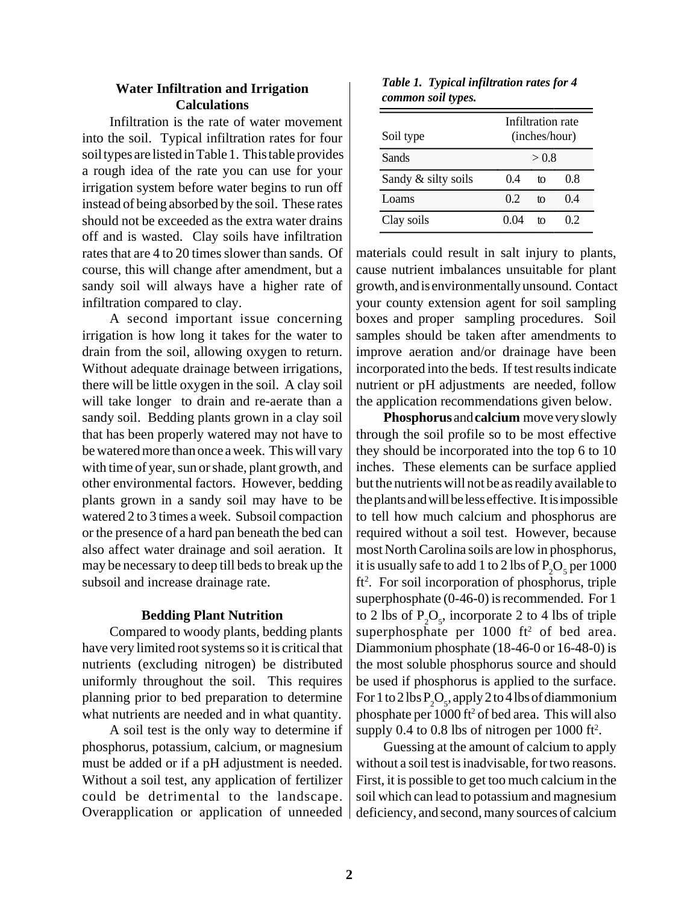### **Water Infiltration and Irrigation Calculations**

Infiltration is the rate of water movement into the soil. Typical infiltration rates for four soil types are listed in Table 1. This table provides a rough idea of the rate you can use for your irrigation system before water begins to run off instead of being absorbed by the soil. These rates should not be exceeded as the extra water drains off and is wasted. Clay soils have infiltration rates that are 4 to 20 times slower than sands. Of course, this will change after amendment, but a sandy soil will always have a higher rate of infiltration compared to clay.

A second important issue concerning irrigation is how long it takes for the water to drain from the soil, allowing oxygen to return. Without adequate drainage between irrigations, there will be little oxygen in the soil. A clay soil will take longer to drain and re-aerate than a sandy soil. Bedding plants grown in a clay soil that has been properly watered may not have to be watered more than once a week. This will vary with time of year, sun or shade, plant growth, and other environmental factors. However, bedding plants grown in a sandy soil may have to be watered 2 to 3 times a week. Subsoil compaction or the presence of a hard pan beneath the bed can also affect water drainage and soil aeration. It may be necessary to deep till beds to break up the subsoil and increase drainage rate.

#### **Bedding Plant Nutrition**

Compared to woody plants, bedding plants have very limited root systems so it is critical that nutrients (excluding nitrogen) be distributed uniformly throughout the soil. This requires planning prior to bed preparation to determine what nutrients are needed and in what quantity.

A soil test is the only way to determine if phosphorus, potassium, calcium, or magnesium must be added or if a pH adjustment is needed. Without a soil test, any application of fertilizer could be detrimental to the landscape. Overapplication or application of unneeded

*Table 1. Typical infiltration rates for 4 common soil types.*

| Soil type           |      | Infiltration rate<br>(inches/hour) |    |  |  |
|---------------------|------|------------------------------------|----|--|--|
| Sands               |      | > 0.8                              |    |  |  |
| Sandy & silty soils | 04   | tΩ                                 | 08 |  |  |
| Loams               | 02   | tΩ                                 | 04 |  |  |
| Clay soils          | 0.04 | tΩ                                 | 02 |  |  |

materials could result in salt injury to plants, cause nutrient imbalances unsuitable for plant growth, and is environmentally unsound. Contact your county extension agent for soil sampling boxes and proper sampling procedures. Soil samples should be taken after amendments to improve aeration and/or drainage have been incorporated into the beds. If test results indicate nutrient or pH adjustments are needed, follow the application recommendations given below.

**Phosphorus** and **calcium** move very slowly through the soil profile so to be most effective they should be incorporated into the top 6 to 10 inches. These elements can be surface applied but the nutrients will not be as readily available to the plants and will be less effective. It is impossible to tell how much calcium and phosphorus are required without a soil test. However, because most North Carolina soils are low in phosphorus, it is usually safe to add 1 to 2 lbs of  $\mathrm{P}_\mathrm{2}\mathrm{O}_\mathrm{s}$  per 1000 ft<sup>2</sup>. For soil incorporation of phosphorus, triple superphosphate (0-46-0) is recommended. For 1 to 2 lbs of  $P_2O_5$ , incorporate 2 to 4 lbs of triple superphosphate per  $1000$  ft<sup>2</sup> of bed area. Diammonium phosphate (18-46-0 or 16-48-0) is the most soluble phosphorus source and should be used if phosphorus is applied to the surface. For 1 to 2 lbs  $P_2O_5$ , apply 2 to 4 lbs of diammonium phosphate per 1000 ft2 of bed area. This will also supply 0.4 to 0.8 lbs of nitrogen per  $1000$  ft<sup>2</sup>.

Guessing at the amount of calcium to apply without a soil test is inadvisable, for two reasons. First, it is possible to get too much calcium in the soil which can lead to potassium and magnesium deficiency, and second, many sources of calcium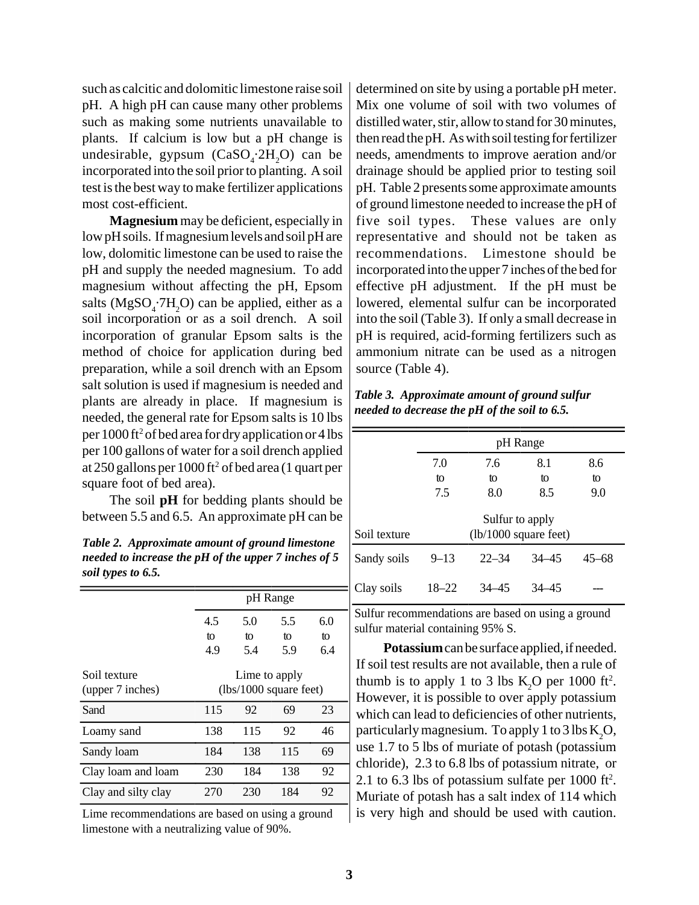such as calcitic and dolomitic limestone raise soil pH. A high pH can cause many other problems such as making some nutrients unavailable to plants. If calcium is low but a pH change is undesirable, gypsum  $(CaSO_4:2H_2O)$  can be incorporated into the soil prior to planting. A soil test is the best way to make fertilizer applications most cost-efficient.

**Magnesium** may be deficient, especially in low pH soils. If magnesium levels and soil pH are low, dolomitic limestone can be used to raise the pH and supply the needed magnesium. To add magnesium without affecting the pH, Epsom salts ( $MgSO<sub>4</sub>$ ; 7H<sub>2</sub>O) can be applied, either as a soil incorporation or as a soil drench. A soil incorporation of granular Epsom salts is the method of choice for application during bed preparation, while a soil drench with an Epsom salt solution is used if magnesium is needed and plants are already in place. If magnesium is needed, the general rate for Epsom salts is 10 lbs per 1000 ft<sup>2</sup> of bed area for dry application or 4 lbs per 100 gallons of water for a soil drench applied at 250 gallons per 1000 ft2 of bed area (1 quart per square foot of bed area).

The soil **pH** for bedding plants should be between 5.5 and 6.5. An approximate pH can be

*Table 2. Approximate amount of ground limestone needed to increase the pH of the upper 7 inches of 5 soil types to 6.5.*

|                                  | pH Range                                |     |     |     |  |
|----------------------------------|-----------------------------------------|-----|-----|-----|--|
|                                  | 4.5                                     | 5.0 | 5.5 | 6.0 |  |
|                                  | to                                      | tΩ  | to  | to  |  |
|                                  | 4.9                                     | 5.4 | 5.9 | 6.4 |  |
| Soil texture<br>(upper 7 inches) | Lime to apply<br>(lbs/1000 square feet) |     |     |     |  |
| Sand                             | 115                                     | 92  | 69  | 23  |  |
| Loamy sand                       | 138                                     | 115 | 92  | 46  |  |
| Sandy loam                       | 184                                     | 138 | 115 | 69  |  |
| Clay loam and loam               | 230                                     | 184 | 138 | 92  |  |
| Clay and silty clay              | 270                                     | 230 | 184 | 92  |  |

Lime recommendations are based on using a ground limestone with a neutralizing value of 90%.

determined on site by using a portable pH meter. Mix one volume of soil with two volumes of distilled water, stir, allow to stand for 30 minutes, then read the pH. As with soil testing for fertilizer needs, amendments to improve aeration and/or drainage should be applied prior to testing soil pH. Table 2 presents some approximate amounts of ground limestone needed to increase the pH of five soil types. These values are only representative and should not be taken as recommendations. Limestone should be incorporated into the upper 7 inches of the bed for effective pH adjustment. If the pH must be lowered, elemental sulfur can be incorporated into the soil (Table 3). If only a small decrease in pH is required, acid-forming fertilizers such as ammonium nitrate can be used as a nitrogen source (Table 4).

*Table 3. Approximate amount of ground sulfur needed to decrease the pH of the soil to 6.5.*

|              | pH Range                                           |           |           |           |  |
|--------------|----------------------------------------------------|-----------|-----------|-----------|--|
|              | 7.0<br>8.1<br>7.6                                  |           | 8.6       |           |  |
|              | to                                                 | to        | to        | to        |  |
|              | 7.5                                                | 8.0       | 8.5       | 9.0       |  |
| Soil texture | Sulfur to apply<br>$(lb/1000 \text{ square feet})$ |           |           |           |  |
| Sandy soils  | $9 - 13$                                           | $22 - 34$ | $34 - 45$ | $45 - 68$ |  |
| Clay soils   | 18–22                                              | $34 - 45$ | $34 - 45$ |           |  |

Sulfur recommendations are based on using a ground sulfur material containing 95% S.

**Potassium** can be surface applied, if needed. If soil test results are not available, then a rule of thumb is to apply 1 to 3 lbs  $K_2O$  per 1000 ft<sup>2</sup>. However, it is possible to over apply potassium which can lead to deficiencies of other nutrients, particularly magnesium. To apply 1 to 3 lbs  $K_2O$ , use 1.7 to 5 lbs of muriate of potash (potassium chloride), 2.3 to 6.8 lbs of potassium nitrate, or 2.1 to 6.3 lbs of potassium sulfate per  $1000$  ft<sup>2</sup>. Muriate of potash has a salt index of 114 which is very high and should be used with caution.